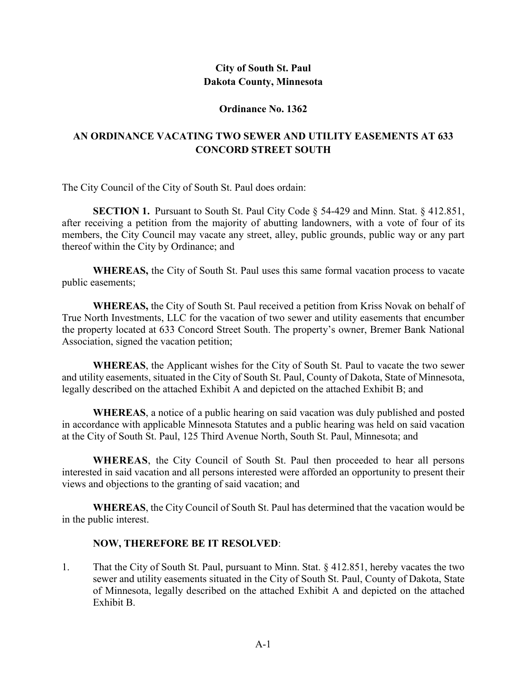# **City of South St. Paul Dakota County, Minnesota**

## **Ordinance No. 1362**

# **AN ORDINANCE VACATING TWO SEWER AND UTILITY EASEMENTS AT 633 CONCORD STREET SOUTH**

The City Council of the City of South St. Paul does ordain:

**SECTION 1.** Pursuant to South St. Paul City Code § 54-429 and Minn. Stat. § 412.851, after receiving a petition from the majority of abutting landowners, with a vote of four of its members, the City Council may vacate any street, alley, public grounds, public way or any part thereof within the City by Ordinance; and

**WHEREAS,** the City of South St. Paul uses this same formal vacation process to vacate public easements;

**WHEREAS,** the City of South St. Paul received a petition from Kriss Novak on behalf of True North Investments, LLC for the vacation of two sewer and utility easements that encumber the property located at 633 Concord Street South. The property's owner, Bremer Bank National Association, signed the vacation petition;

**WHEREAS**, the Applicant wishes for the City of South St. Paul to vacate the two sewer and utility easements, situated in the City of South St. Paul, County of Dakota, State of Minnesota, legally described on the attached Exhibit A and depicted on the attached Exhibit B; and

**WHEREAS**, a notice of a public hearing on said vacation was duly published and posted in accordance with applicable Minnesota Statutes and a public hearing was held on said vacation at the City of South St. Paul, 125 Third Avenue North, South St. Paul, Minnesota; and

**WHEREAS**, the City Council of South St. Paul then proceeded to hear all persons interested in said vacation and all persons interested were afforded an opportunity to present their views and objections to the granting of said vacation; and

**WHEREAS**, the City Council of South St. Paul has determined that the vacation would be in the public interest.

## **NOW, THEREFORE BE IT RESOLVED**:

1. That the City of South St. Paul, pursuant to Minn. Stat. § 412.851, hereby vacates the two sewer and utility easements situated in the City of South St. Paul, County of Dakota, State of Minnesota, legally described on the attached Exhibit A and depicted on the attached Exhibit B.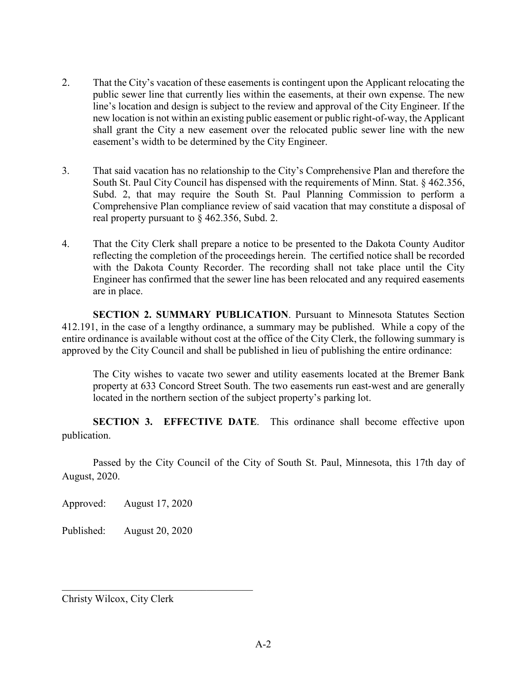- 2. That the City's vacation of these easements is contingent upon the Applicant relocating the public sewer line that currently lies within the easements, at their own expense. The new line's location and design is subject to the review and approval of the City Engineer. If the new location is not within an existing public easement or public right-of-way, the Applicant shall grant the City a new easement over the relocated public sewer line with the new easement's width to be determined by the City Engineer.
- 3. That said vacation has no relationship to the City's Comprehensive Plan and therefore the South St. Paul City Council has dispensed with the requirements of Minn. Stat. § 462.356, Subd. 2, that may require the South St. Paul Planning Commission to perform a Comprehensive Plan compliance review of said vacation that may constitute a disposal of real property pursuant to § 462.356, Subd. 2.
- 4. That the City Clerk shall prepare a notice to be presented to the Dakota County Auditor reflecting the completion of the proceedings herein. The certified notice shall be recorded with the Dakota County Recorder. The recording shall not take place until the City Engineer has confirmed that the sewer line has been relocated and any required easements are in place.

**SECTION 2. SUMMARY PUBLICATION**. Pursuant to Minnesota Statutes Section 412.191, in the case of a lengthy ordinance, a summary may be published. While a copy of the entire ordinance is available without cost at the office of the City Clerk, the following summary is approved by the City Council and shall be published in lieu of publishing the entire ordinance:

The City wishes to vacate two sewer and utility easements located at the Bremer Bank property at 633 Concord Street South. The two easements run east-west and are generally located in the northern section of the subject property's parking lot.

**SECTION 3. EFFECTIVE DATE.** This ordinance shall become effective upon publication.

Passed by the City Council of the City of South St. Paul, Minnesota, this 17th day of August, 2020.

Approved: August 17, 2020

Published: August 20, 2020

\_\_\_\_\_\_\_\_\_\_\_\_\_\_\_\_\_\_\_\_\_\_\_\_\_\_\_\_\_\_\_\_\_\_\_\_\_

Christy Wilcox, City Clerk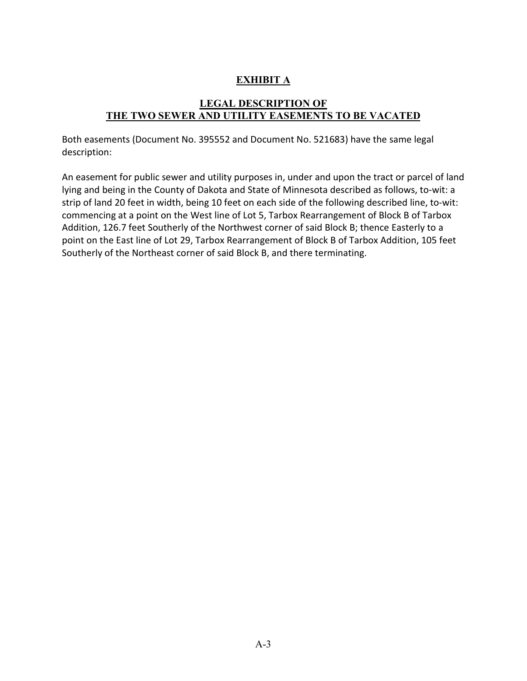# **EXHIBIT A**

## **LEGAL DESCRIPTION OF THE TWO SEWER AND UTILITY EASEMENTS TO BE VACATED**

Both easements (Document No. 395552 and Document No. 521683) have the same legal description:

An easement for public sewer and utility purposes in, under and upon the tract or parcel of land lying and being in the County of Dakota and State of Minnesota described as follows, to-wit: a strip of land 20 feet in width, being 10 feet on each side of the following described line, to-wit: commencing at a point on the West line of Lot 5, Tarbox Rearrangement of Block B of Tarbox Addition, 126.7 feet Southerly of the Northwest corner of said Block B; thence Easterly to a point on the East line of Lot 29, Tarbox Rearrangement of Block B of Tarbox Addition, 105 feet Southerly of the Northeast corner of said Block B, and there terminating.